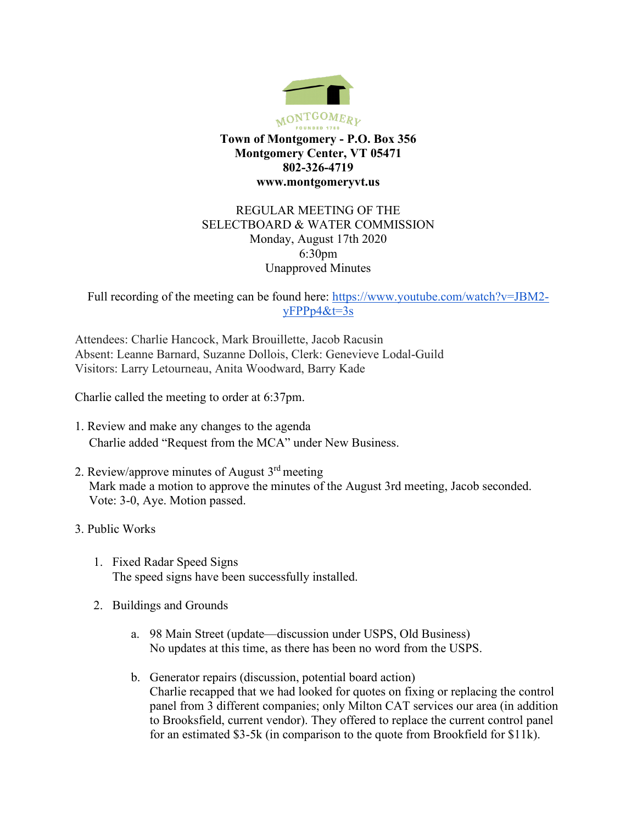

## REGULAR MEETING OF THE SELECTBOARD & WATER COMMISSION Monday, August 17th 2020 6:30pm Unapproved Minutes

Full recording of the meeting can be found here: [https://www.youtube.com/watch?v=JBM2](https://www.youtube.com/watch?v=JBM2-yFPPp4&t=3s) [yFPPp4&t=3s](https://www.youtube.com/watch?v=JBM2-yFPPp4&t=3s)

Attendees: Charlie Hancock, Mark Brouillette, Jacob Racusin Absent: Leanne Barnard, Suzanne Dollois, Clerk: Genevieve Lodal-Guild Visitors: Larry Letourneau, Anita Woodward, Barry Kade

Charlie called the meeting to order at 6:37pm.

- 1. Review and make any changes to the agenda Charlie added "Request from the MCA" under New Business.
- 2. Review/approve minutes of August  $3<sup>rd</sup>$  meeting Mark made a motion to approve the minutes of the August 3rd meeting, Jacob seconded. Vote: 3-0, Aye. Motion passed.
- 3. Public Works
	- 1. Fixed Radar Speed Signs The speed signs have been successfully installed.
	- 2. Buildings and Grounds
		- a. 98 Main Street (update—discussion under USPS, Old Business) No updates at this time, as there has been no word from the USPS.
		- b. Generator repairs (discussion, potential board action) Charlie recapped that we had looked for quotes on fixing or replacing the control panel from 3 different companies; only Milton CAT services our area (in addition to Brooksfield, current vendor). They offered to replace the current control panel for an estimated \$3-5k (in comparison to the quote from Brookfield for \$11k).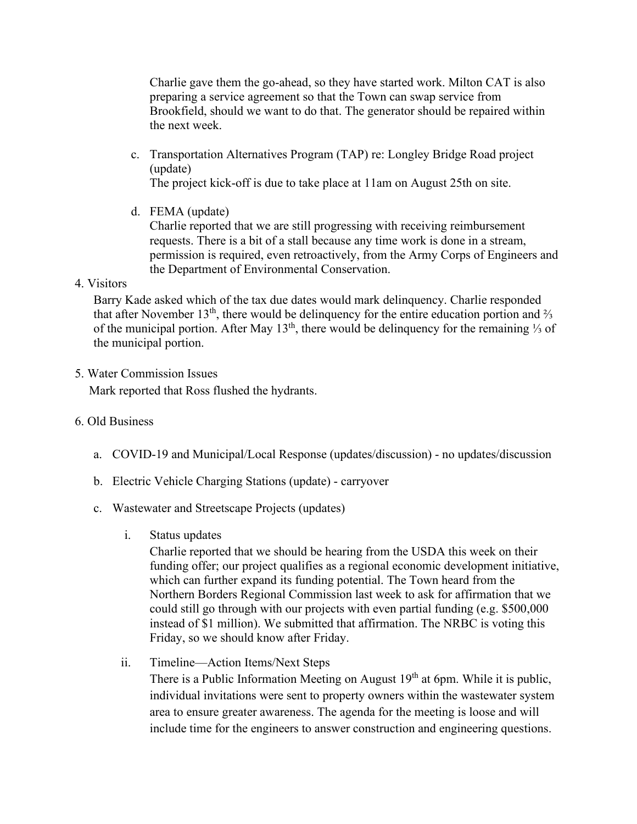Charlie gave them the go-ahead, so they have started work. Milton CAT is also preparing a service agreement so that the Town can swap service from Brookfield, should we want to do that. The generator should be repaired within the next week.

c. Transportation Alternatives Program (TAP) re: Longley Bridge Road project (update)

The project kick-off is due to take place at 11am on August 25th on site.

d. FEMA (update)

Charlie reported that we are still progressing with receiving reimbursement requests. There is a bit of a stall because any time work is done in a stream, permission is required, even retroactively, from the Army Corps of Engineers and the Department of Environmental Conservation.

## 4. Visitors

Barry Kade asked which of the tax due dates would mark delinquency. Charlie responded that after November  $13<sup>th</sup>$ , there would be delinquency for the entire education portion and  $\frac{2}{3}$ of the municipal portion. After May 13<sup>th</sup>, there would be delinquency for the remaining 1⁄3 of the municipal portion.

## 5. Water Commission Issues

Mark reported that Ross flushed the hydrants.

# 6. Old Business

- a. COVID-19 and Municipal/Local Response (updates/discussion) no updates/discussion
- b. Electric Vehicle Charging Stations (update) carryover
- c. Wastewater and Streetscape Projects (updates)
	- i. Status updates

Charlie reported that we should be hearing from the USDA this week on their funding offer; our project qualifies as a regional economic development initiative, which can further expand its funding potential. The Town heard from the Northern Borders Regional Commission last week to ask for affirmation that we could still go through with our projects with even partial funding (e.g. \$500,000 instead of \$1 million). We submitted that affirmation. The NRBC is voting this Friday, so we should know after Friday.

ii. Timeline—Action Items/Next Steps

There is a Public Information Meeting on August  $19<sup>th</sup>$  at 6pm. While it is public, individual invitations were sent to property owners within the wastewater system area to ensure greater awareness. The agenda for the meeting is loose and will include time for the engineers to answer construction and engineering questions.